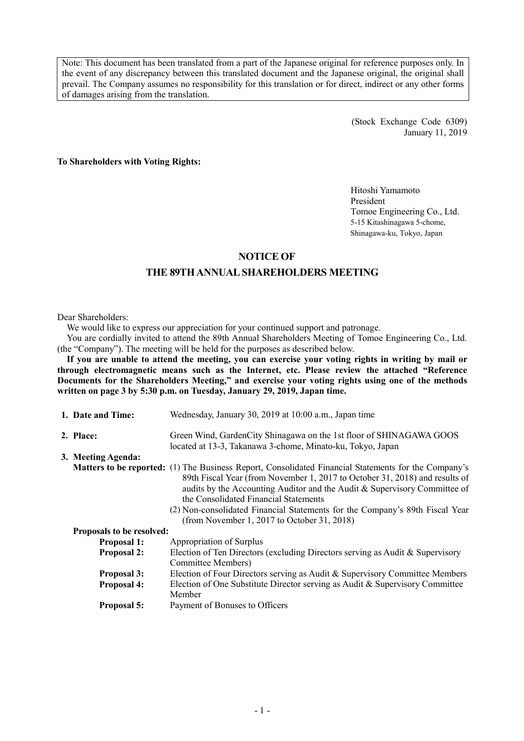Note: This document has been translated from a part of the Japanese original for reference purposes only. In the event of any discrepancy between this translated document and the Japanese original, the original shall prevail. The Company assumes no responsibility for this translation or for direct, indirect or any other forms of damages arising from the translation.

> (Stock Exchange Code 6309) January 11, 2019

**To Shareholders with Voting Rights:** 

Hitoshi Yamamoto President Tomoe Engineering Co., Ltd. 5-15 Kitashinagawa 5-chome, Shinagawa-ku, Tokyo, Japan

#### **NOTICE OF**

## **THE 89TH ANNUAL SHAREHOLDERS MEETING**

Dear Shareholders:

We would like to express our appreciation for your continued support and patronage.

You are cordially invited to attend the 89th Annual Shareholders Meeting of Tomoe Engineering Co., Ltd. (the "Company"). The meeting will be held for the purposes as described below.

**If you are unable to attend the meeting, you can exercise your voting rights in writing by mail or through electromagnetic means such as the Internet, etc. Please review the attached "Reference Documents for the Shareholders Meeting," and exercise your voting rights using one of the methods written on page 3 by 5:30 p.m. on Tuesday, January 29, 2019, Japan time.** 

| 1. Date and Time:                | Wednesday, January 30, 2019 at 10:00 a.m., Japan time                                                                                                                                                                                                                                                                                                                                                                                           |
|----------------------------------|-------------------------------------------------------------------------------------------------------------------------------------------------------------------------------------------------------------------------------------------------------------------------------------------------------------------------------------------------------------------------------------------------------------------------------------------------|
| 2. Place:                        | Green Wind, GardenCity Shinagawa on the 1st floor of SHINAGAWA GOOS<br>located at 13-3, Takanawa 3-chome, Minato-ku, Tokyo, Japan                                                                                                                                                                                                                                                                                                               |
| 3. Meeting Agenda:               |                                                                                                                                                                                                                                                                                                                                                                                                                                                 |
|                                  | <b>Matters to be reported:</b> (1) The Business Report, Consolidated Financial Statements for the Company's<br>89th Fiscal Year (from November 1, 2017 to October 31, 2018) and results of<br>audits by the Accounting Auditor and the Audit & Supervisory Committee of<br>the Consolidated Financial Statements<br>(2) Non-consolidated Financial Statements for the Company's 89th Fiscal Year<br>(from November 1, 2017 to October 31, 2018) |
| <b>Proposals to be resolved:</b> |                                                                                                                                                                                                                                                                                                                                                                                                                                                 |
| <b>Proposal 1:</b>               | Appropriation of Surplus                                                                                                                                                                                                                                                                                                                                                                                                                        |
| <b>Proposal 2:</b>               | Election of Ten Directors (excluding Directors serving as Audit & Supervisory<br>Committee Members)                                                                                                                                                                                                                                                                                                                                             |
| <b>Proposal 3:</b>               | Election of Four Directors serving as Audit & Supervisory Committee Members                                                                                                                                                                                                                                                                                                                                                                     |
| <b>Proposal 4:</b>               | Election of One Substitute Director serving as Audit & Supervisory Committee<br>Member                                                                                                                                                                                                                                                                                                                                                          |
| Proposal 5:                      | Payment of Bonuses to Officers                                                                                                                                                                                                                                                                                                                                                                                                                  |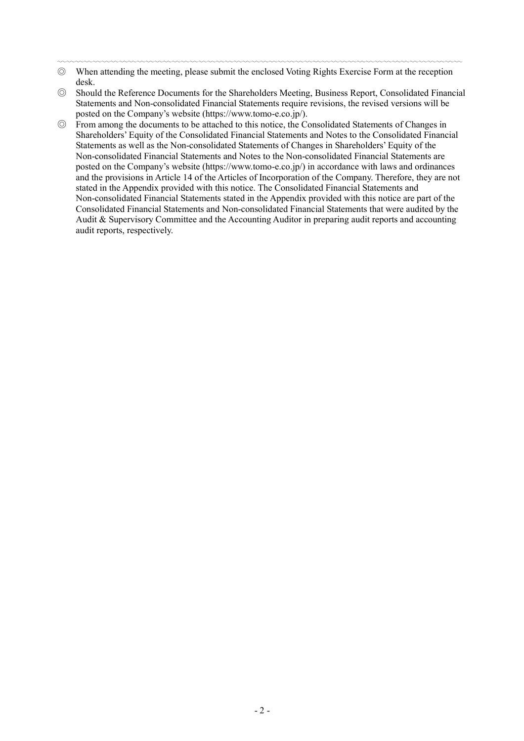- 〰〰〰〰〰〰〰〰〰〰〰〰〰〰〰〰〰〰〰〰〰〰〰〰〰〰〰〰〰〰〰〰〰〰〰〰〰〰〰〰〰〰〰〰〰〰 ◎ When attending the meeting, please submit the enclosed Voting Rights Exercise Form at the reception desk.
- ◎ Should the Reference Documents for the Shareholders Meeting, Business Report, Consolidated Financial Statements and Non-consolidated Financial Statements require revisions, the revised versions will be posted on the Company's website (https://www.tomo-e.co.jp/).
- ◎ From among the documents to be attached to this notice, the Consolidated Statements of Changes in Shareholders' Equity of the Consolidated Financial Statements and Notes to the Consolidated Financial Statements as well as the Non-consolidated Statements of Changes in Shareholders' Equity of the Non-consolidated Financial Statements and Notes to the Non-consolidated Financial Statements are posted on the Company's website (https://www.tomo-e.co.jp/) in accordance with laws and ordinances and the provisions in Article 14 of the Articles of Incorporation of the Company. Therefore, they are not stated in the Appendix provided with this notice. The Consolidated Financial Statements and Non-consolidated Financial Statements stated in the Appendix provided with this notice are part of the Consolidated Financial Statements and Non-consolidated Financial Statements that were audited by the Audit & Supervisory Committee and the Accounting Auditor in preparing audit reports and accounting audit reports, respectively.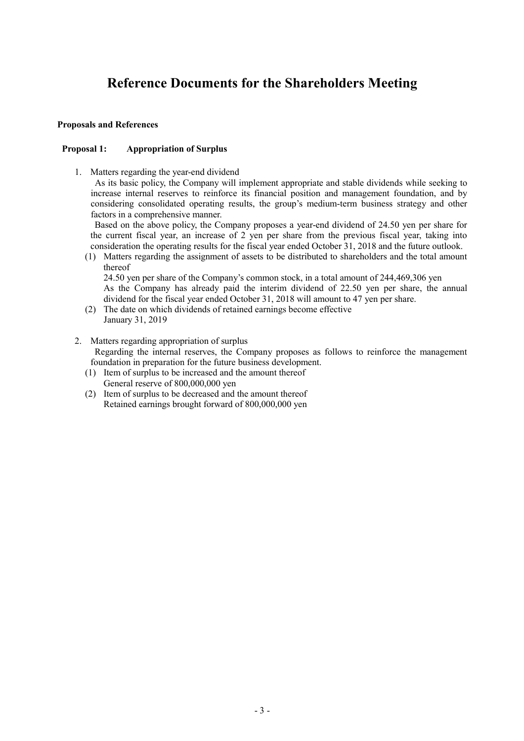# **Reference Documents for the Shareholders Meeting**

#### **Proposals and References**

#### **Proposal 1: Appropriation of Surplus**

1. Matters regarding the year-end dividend

As its basic policy, the Company will implement appropriate and stable dividends while seeking to increase internal reserves to reinforce its financial position and management foundation, and by considering consolidated operating results, the group's medium-term business strategy and other factors in a comprehensive manner.

Based on the above policy, the Company proposes a year-end dividend of 24.50 yen per share for the current fiscal year, an increase of 2 yen per share from the previous fiscal year, taking into consideration the operating results for the fiscal year ended October 31, 2018 and the future outlook.

(1) Matters regarding the assignment of assets to be distributed to shareholders and the total amount thereof

24.50 yen per share of the Company's common stock, in a total amount of 244,469,306 yen As the Company has already paid the interim dividend of 22.50 yen per share, the annual dividend for the fiscal year ended October 31, 2018 will amount to 47 yen per share.

- (2) The date on which dividends of retained earnings become effective January 31, 2019
- 2. Matters regarding appropriation of surplus

Regarding the internal reserves, the Company proposes as follows to reinforce the management foundation in preparation for the future business development.

- (1) Item of surplus to be increased and the amount thereof General reserve of 800,000,000 yen
- (2) Item of surplus to be decreased and the amount thereof Retained earnings brought forward of 800,000,000 yen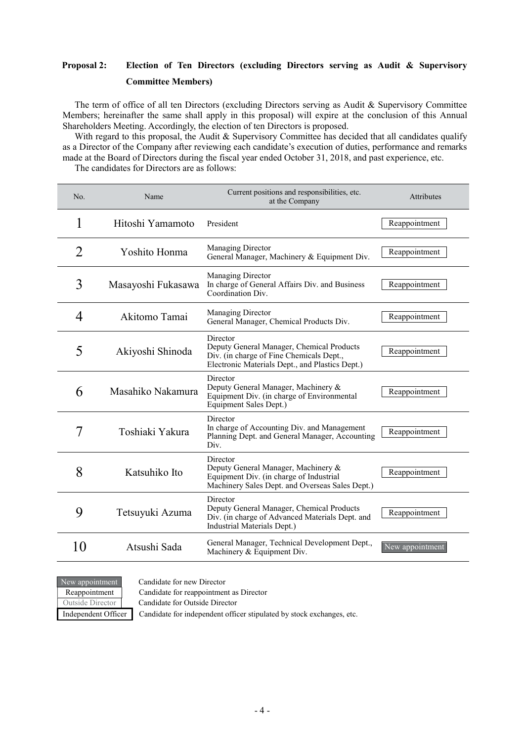# **Proposal 2: Election of Ten Directors (excluding Directors serving as Audit & Supervisory Committee Members)**

The term of office of all ten Directors (excluding Directors serving as Audit & Supervisory Committee Members; hereinafter the same shall apply in this proposal) will expire at the conclusion of this Annual Shareholders Meeting. Accordingly, the election of ten Directors is proposed.

With regard to this proposal, the Audit & Supervisory Committee has decided that all candidates qualify as a Director of the Company after reviewing each candidate's execution of duties, performance and remarks made at the Board of Directors during the fiscal year ended October 31, 2018, and past experience, etc. The candidates for Directors are as follows:

| No. | Name               | Current positions and responsibilities, etc.<br>at the Company                                                                                       | Attributes      |
|-----|--------------------|------------------------------------------------------------------------------------------------------------------------------------------------------|-----------------|
| 1   | Hitoshi Yamamoto   | President                                                                                                                                            | Reappointment   |
| 2   | Yoshito Honma      | <b>Managing Director</b><br>General Manager, Machinery & Equipment Div.                                                                              | Reappointment   |
| 3   | Masayoshi Fukasawa | Managing Director<br>In charge of General Affairs Div. and Business<br>Coordination Div.                                                             | Reappointment   |
| 4   | Akitomo Tamai      | <b>Managing Director</b><br>General Manager, Chemical Products Div.                                                                                  | Reappointment   |
| 5   | Akiyoshi Shinoda   | Director<br>Deputy General Manager, Chemical Products<br>Div. (in charge of Fine Chemicals Dept.,<br>Electronic Materials Dept., and Plastics Dept.) | Reappointment   |
| 6   | Masahiko Nakamura  | Director<br>Deputy General Manager, Machinery &<br>Equipment Div. (in charge of Environmental<br>Equipment Sales Dept.)                              | Reappointment   |
| 7   | Toshiaki Yakura    | Director<br>In charge of Accounting Div. and Management<br>Planning Dept. and General Manager, Accounting<br>Div.                                    | Reappointment   |
| 8   | Katsuhiko Ito      | Director<br>Deputy General Manager, Machinery &<br>Equipment Div. (in charge of Industrial<br>Machinery Sales Dept. and Overseas Sales Dept.)        | Reappointment   |
| 9   | Tetsuyuki Azuma    | Director<br>Deputy General Manager, Chemical Products<br>Div. (in charge of Advanced Materials Dept. and<br>Industrial Materials Dept.)              | Reappointment   |
| 10  | Atsushi Sada       | General Manager, Technical Development Dept.,<br>Machinery & Equipment Div.                                                                          | New appointment |

New appointment Candidate for new Director

Reappointment Candidate for reappointment as Director

Outside Director Candidate for Outside Director

Independent Officer Candidate for independent officer stipulated by stock exchanges, etc.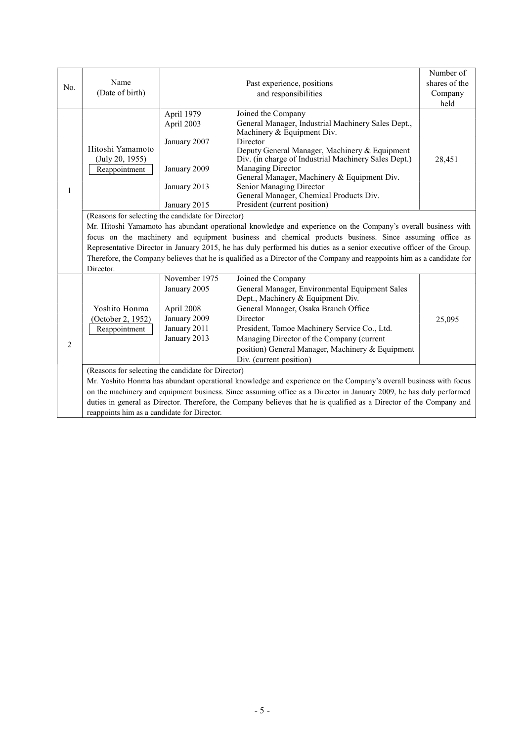|                |                                                                                                                         |                                                    |                                                                                                                      | Number of     |  |  |
|----------------|-------------------------------------------------------------------------------------------------------------------------|----------------------------------------------------|----------------------------------------------------------------------------------------------------------------------|---------------|--|--|
| No.            | Name                                                                                                                    |                                                    | Past experience, positions                                                                                           | shares of the |  |  |
|                | (Date of birth)                                                                                                         |                                                    | and responsibilities                                                                                                 | Company       |  |  |
|                |                                                                                                                         |                                                    |                                                                                                                      | held          |  |  |
|                |                                                                                                                         | April 1979                                         | Joined the Company                                                                                                   |               |  |  |
|                |                                                                                                                         | April 2003                                         | General Manager, Industrial Machinery Sales Dept.,                                                                   |               |  |  |
|                |                                                                                                                         |                                                    | Machinery & Equipment Div.                                                                                           |               |  |  |
|                |                                                                                                                         | January 2007                                       | Director                                                                                                             |               |  |  |
|                | Hitoshi Yamamoto                                                                                                        |                                                    | Deputy General Manager, Machinery & Equipment                                                                        |               |  |  |
|                | (July 20, 1955)                                                                                                         |                                                    | Div. (in charge of Industrial Machinery Sales Dept.)                                                                 | 28,451        |  |  |
|                | Reappointment                                                                                                           | January 2009                                       | Managing Director<br>General Manager, Machinery & Equipment Div.                                                     |               |  |  |
|                |                                                                                                                         | January 2013                                       | Senior Managing Director                                                                                             |               |  |  |
| 1              |                                                                                                                         |                                                    | General Manager, Chemical Products Div.                                                                              |               |  |  |
|                |                                                                                                                         | January 2015                                       | President (current position)                                                                                         |               |  |  |
|                |                                                                                                                         | (Reasons for selecting the candidate for Director) |                                                                                                                      |               |  |  |
|                |                                                                                                                         |                                                    |                                                                                                                      |               |  |  |
|                | Mr. Hitoshi Yamamoto has abundant operational knowledge and experience on the Company's overall business with           |                                                    |                                                                                                                      |               |  |  |
|                | focus on the machinery and equipment business and chemical products business. Since assuming office as                  |                                                    |                                                                                                                      |               |  |  |
|                | Representative Director in January 2015, he has duly performed his duties as a senior executive officer of the Group.   |                                                    |                                                                                                                      |               |  |  |
|                | Therefore, the Company believes that he is qualified as a Director of the Company and reappoints him as a candidate for |                                                    |                                                                                                                      |               |  |  |
|                | Director.                                                                                                               |                                                    |                                                                                                                      |               |  |  |
|                |                                                                                                                         | November 1975                                      | Joined the Company                                                                                                   |               |  |  |
|                |                                                                                                                         | January 2005                                       | General Manager, Environmental Equipment Sales                                                                       |               |  |  |
|                |                                                                                                                         |                                                    | Dept., Machinery & Equipment Div.                                                                                    |               |  |  |
|                | Yoshito Honma                                                                                                           | April 2008                                         | General Manager, Osaka Branch Office                                                                                 |               |  |  |
|                | (October 2, 1952)                                                                                                       | January 2009                                       | Director                                                                                                             | 25,095        |  |  |
|                | Reappointment                                                                                                           | January 2011                                       | President, Tomoe Machinery Service Co., Ltd.                                                                         |               |  |  |
| $\overline{c}$ |                                                                                                                         | January 2013                                       | Managing Director of the Company (current                                                                            |               |  |  |
|                |                                                                                                                         |                                                    | position) General Manager, Machinery & Equipment                                                                     |               |  |  |
|                |                                                                                                                         |                                                    | Div. (current position)                                                                                              |               |  |  |
|                |                                                                                                                         | (Reasons for selecting the candidate for Director) |                                                                                                                      |               |  |  |
|                |                                                                                                                         |                                                    | Mr. Yoshito Honma has abundant operational knowledge and experience on the Company's overall business with focus     |               |  |  |
|                |                                                                                                                         |                                                    | on the machinery and equipment business. Since assuming office as a Director in January 2009, he has duly performed  |               |  |  |
|                |                                                                                                                         |                                                    | duties in general as Director. Therefore, the Company believes that he is qualified as a Director of the Company and |               |  |  |
|                | reappoints him as a candidate for Director.                                                                             |                                                    |                                                                                                                      |               |  |  |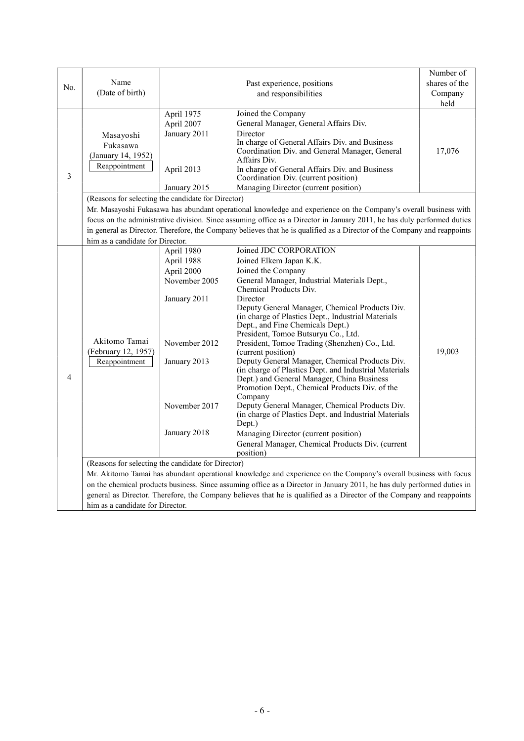|                |                                                    |                             |                                                                                                                          | Number of     |
|----------------|----------------------------------------------------|-----------------------------|--------------------------------------------------------------------------------------------------------------------------|---------------|
| No.            | Name                                               |                             | Past experience, positions                                                                                               | shares of the |
|                | (Date of birth)                                    |                             | and responsibilities                                                                                                     | Company       |
|                |                                                    |                             |                                                                                                                          | held          |
|                |                                                    | April 1975                  | Joined the Company                                                                                                       |               |
|                |                                                    | April 2007                  | General Manager, General Affairs Div.                                                                                    |               |
|                | Masayoshi                                          | January 2011                | Director<br>In charge of General Affairs Div. and Business                                                               |               |
|                | Fukasawa                                           |                             | Coordination Div. and General Manager, General                                                                           | 17,076        |
|                | (January 14, 1952)                                 |                             | Affairs Div.                                                                                                             |               |
|                | Reappointment                                      | April 2013                  | In charge of General Affairs Div. and Business                                                                           |               |
| 3              |                                                    |                             | Coordination Div. (current position)                                                                                     |               |
|                |                                                    | January 2015                | Managing Director (current position)                                                                                     |               |
|                | (Reasons for selecting the candidate for Director) |                             |                                                                                                                          |               |
|                |                                                    |                             | Mr. Masayoshi Fukasawa has abundant operational knowledge and experience on the Company's overall business with          |               |
|                |                                                    |                             | focus on the administrative division. Since assuming office as a Director in January 2011, he has duly performed duties  |               |
|                |                                                    |                             | in general as Director. Therefore, the Company believes that he is qualified as a Director of the Company and reappoints |               |
|                | him as a candidate for Director.                   |                             |                                                                                                                          |               |
|                |                                                    | April 1980                  | Joined JDC CORPORATION                                                                                                   |               |
|                |                                                    | April 1988                  | Joined Elkem Japan K.K.                                                                                                  |               |
|                |                                                    | April 2000<br>November 2005 | Joined the Company<br>General Manager, Industrial Materials Dept.,                                                       |               |
|                |                                                    |                             | Chemical Products Div.                                                                                                   |               |
|                |                                                    | January 2011                | Director                                                                                                                 |               |
|                |                                                    |                             | Deputy General Manager, Chemical Products Div.                                                                           |               |
|                |                                                    |                             | (in charge of Plastics Dept., Industrial Materials                                                                       |               |
|                |                                                    |                             | Dept., and Fine Chemicals Dept.)<br>President, Tomoe Butsuryu Co., Ltd.                                                  |               |
|                | Akitomo Tamai                                      | November 2012               | President, Tomoe Trading (Shenzhen) Co., Ltd.                                                                            |               |
|                | (February 12, 1957)<br>Reappointment               |                             | (current position)                                                                                                       | 19,003        |
|                |                                                    | January 2013                | Deputy General Manager, Chemical Products Div.                                                                           |               |
|                |                                                    |                             | (in charge of Plastics Dept. and Industrial Materials                                                                    |               |
| $\overline{4}$ |                                                    |                             | Dept.) and General Manager, China Business<br>Promotion Dept., Chemical Products Div. of the                             |               |
|                |                                                    |                             | Company                                                                                                                  |               |
|                |                                                    | November 2017               | Deputy General Manager, Chemical Products Div.                                                                           |               |
|                |                                                    |                             | (in charge of Plastics Dept. and Industrial Materials                                                                    |               |
|                |                                                    |                             | Dept.)                                                                                                                   |               |
|                |                                                    | January 2018                | Managing Director (current position)                                                                                     |               |
|                |                                                    |                             | General Manager, Chemical Products Div. (current                                                                         |               |
|                | (Reasons for selecting the candidate for Director) |                             | position)                                                                                                                |               |
|                |                                                    |                             | Mr. Akitomo Tamai has abundant operational knowledge and experience on the Company's overall business with focus         |               |
|                |                                                    |                             | on the chemical products business. Since assuming office as a Director in January 2011, he has duly performed duties in  |               |
|                |                                                    |                             | general as Director. Therefore, the Company believes that he is qualified as a Director of the Company and reappoints    |               |
|                | him as a candidate for Director.                   |                             |                                                                                                                          |               |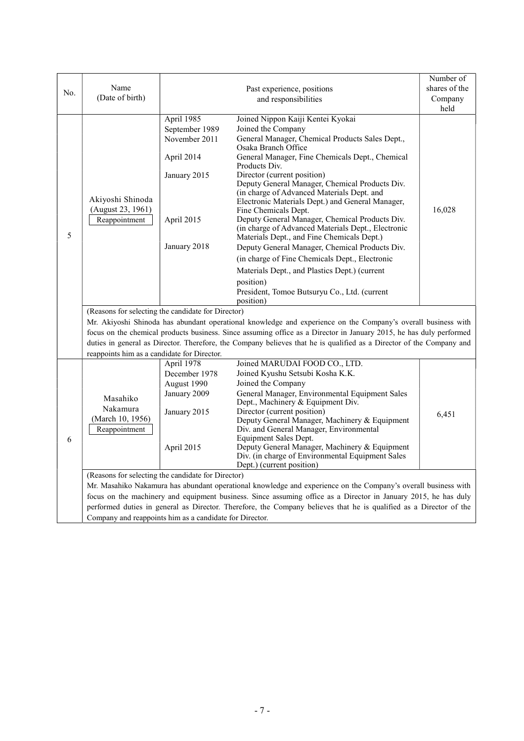|     |                                                                                                                                                                     |                |                                                                                                                      | Number of     |  |
|-----|---------------------------------------------------------------------------------------------------------------------------------------------------------------------|----------------|----------------------------------------------------------------------------------------------------------------------|---------------|--|
| No. | Name                                                                                                                                                                |                | Past experience, positions                                                                                           | shares of the |  |
|     | (Date of birth)                                                                                                                                                     |                | and responsibilities                                                                                                 | Company       |  |
|     |                                                                                                                                                                     |                |                                                                                                                      | held          |  |
|     |                                                                                                                                                                     | April 1985     | Joined Nippon Kaiji Kentei Kyokai                                                                                    |               |  |
|     |                                                                                                                                                                     | September 1989 | Joined the Company                                                                                                   |               |  |
|     |                                                                                                                                                                     | November 2011  | General Manager, Chemical Products Sales Dept.,<br>Osaka Branch Office                                               |               |  |
|     |                                                                                                                                                                     | April 2014     | General Manager, Fine Chemicals Dept., Chemical<br>Products Div.                                                     |               |  |
|     |                                                                                                                                                                     | January 2015   | Director (current position)                                                                                          |               |  |
|     |                                                                                                                                                                     |                | Deputy General Manager, Chemical Products Div.                                                                       |               |  |
|     | Akiyoshi Shinoda                                                                                                                                                    |                | (in charge of Advanced Materials Dept. and<br>Electronic Materials Dept.) and General Manager,                       |               |  |
|     | (August 23, 1961)                                                                                                                                                   |                | Fine Chemicals Dept.                                                                                                 | 16,028        |  |
|     | Reappointment                                                                                                                                                       | April 2015     | Deputy General Manager, Chemical Products Div.                                                                       |               |  |
|     |                                                                                                                                                                     |                | (in charge of Advanced Materials Dept., Electronic                                                                   |               |  |
| 5   |                                                                                                                                                                     |                | Materials Dept., and Fine Chemicals Dept.)                                                                           |               |  |
|     |                                                                                                                                                                     | January 2018   | Deputy General Manager, Chemical Products Div.                                                                       |               |  |
|     |                                                                                                                                                                     |                | (in charge of Fine Chemicals Dept., Electronic                                                                       |               |  |
|     |                                                                                                                                                                     |                | Materials Dept., and Plastics Dept.) (current                                                                        |               |  |
|     |                                                                                                                                                                     |                | position)                                                                                                            |               |  |
|     |                                                                                                                                                                     |                | President, Tomoe Butsuryu Co., Ltd. (current                                                                         |               |  |
|     |                                                                                                                                                                     |                | position)                                                                                                            |               |  |
|     | (Reasons for selecting the candidate for Director)<br>Mr. Akiyoshi Shinoda has abundant operational knowledge and experience on the Company's overall business with |                |                                                                                                                      |               |  |
|     | focus on the chemical products business. Since assuming office as a Director in January 2015, he has duly performed                                                 |                |                                                                                                                      |               |  |
|     |                                                                                                                                                                     |                | duties in general as Director. Therefore, the Company believes that he is qualified as a Director of the Company and |               |  |
|     | reappoints him as a candidate for Director.                                                                                                                         |                |                                                                                                                      |               |  |
|     |                                                                                                                                                                     | April 1978     | Joined MARUDAI FOOD CO., LTD.                                                                                        |               |  |
|     |                                                                                                                                                                     | December 1978  | Joined Kyushu Setsubi Kosha K.K.                                                                                     |               |  |
|     |                                                                                                                                                                     | August 1990    | Joined the Company                                                                                                   |               |  |
|     | Masahiko                                                                                                                                                            | January 2009   | General Manager, Environmental Equipment Sales<br>Dept., Machinery & Equipment Div.                                  |               |  |
|     | Nakamura                                                                                                                                                            | January 2015   | Director (current position)                                                                                          | 6,451         |  |
|     | (March 10, 1956)                                                                                                                                                    |                | Deputy General Manager, Machinery & Equipment                                                                        |               |  |
|     | Reappointment                                                                                                                                                       |                | Div. and General Manager, Environmental                                                                              |               |  |
| 6   |                                                                                                                                                                     |                | Equipment Sales Dept.<br>Deputy General Manager, Machinery & Equipment                                               |               |  |
|     |                                                                                                                                                                     | April 2015     | Div. (in charge of Environmental Equipment Sales                                                                     |               |  |
|     |                                                                                                                                                                     |                | Dept.) (current position)                                                                                            |               |  |
|     | (Reasons for selecting the candidate for Director)                                                                                                                  |                |                                                                                                                      |               |  |
|     |                                                                                                                                                                     |                | Mr. Masahiko Nakamura has abundant operational knowledge and experience on the Company's overall business with       |               |  |
|     |                                                                                                                                                                     |                | focus on the machinery and equipment business. Since assuming office as a Director in January 2015, he has duly      |               |  |
|     |                                                                                                                                                                     |                | performed duties in general as Director. Therefore, the Company believes that he is qualified as a Director of the   |               |  |
|     | Company and reappoints him as a candidate for Director.                                                                                                             |                |                                                                                                                      |               |  |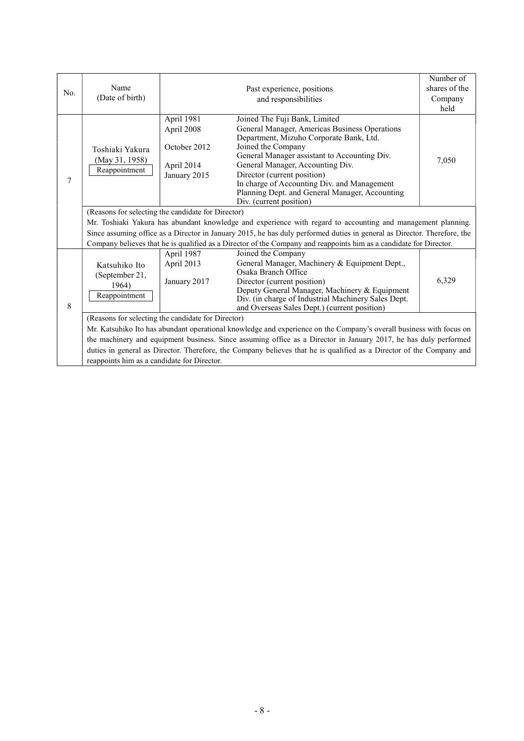|     |                                                                                                                     |                                                                                                                    |                                                                                                                                                                                                                                                                                                                                                                                                | Number of     |  |  |
|-----|---------------------------------------------------------------------------------------------------------------------|--------------------------------------------------------------------------------------------------------------------|------------------------------------------------------------------------------------------------------------------------------------------------------------------------------------------------------------------------------------------------------------------------------------------------------------------------------------------------------------------------------------------------|---------------|--|--|
| No. | Name                                                                                                                |                                                                                                                    | Past experience, positions                                                                                                                                                                                                                                                                                                                                                                     | shares of the |  |  |
|     | (Date of birth)                                                                                                     |                                                                                                                    | and responsibilities                                                                                                                                                                                                                                                                                                                                                                           | Company       |  |  |
|     |                                                                                                                     |                                                                                                                    |                                                                                                                                                                                                                                                                                                                                                                                                | held          |  |  |
| 7   | Toshiaki Yakura<br>(May 31, 1958)<br>Reappointment                                                                  | April 1981<br>April 2008<br>October 2012<br>April 2014<br>January 2015                                             | Joined The Fuji Bank, Limited<br>General Manager, Americas Business Operations<br>Department, Mizuho Corporate Bank, Ltd.<br>Joined the Company<br>General Manager assistant to Accounting Div.<br>General Manager, Accounting Div.<br>Director (current position)<br>In charge of Accounting Div. and Management<br>Planning Dept. and General Manager, Accounting<br>Div. (current position) | 7,050         |  |  |
|     | (Reasons for selecting the candidate for Director)                                                                  |                                                                                                                    |                                                                                                                                                                                                                                                                                                                                                                                                |               |  |  |
|     | Mr. Toshiaki Yakura has abundant knowledge and experience with regard to accounting and management planning.        |                                                                                                                    |                                                                                                                                                                                                                                                                                                                                                                                                |               |  |  |
|     |                                                                                                                     |                                                                                                                    | Since assuming office as a Director in January 2015, he has duly performed duties in general as Director. Therefore, the                                                                                                                                                                                                                                                                       |               |  |  |
|     |                                                                                                                     | Company believes that he is qualified as a Director of the Company and reappoints him as a candidate for Director. |                                                                                                                                                                                                                                                                                                                                                                                                |               |  |  |
| 8   | Katsuhiko Ito<br>(September 21,<br>1964)<br>Reappointment                                                           | April 1987<br>April 2013<br>January 2017                                                                           | Joined the Company<br>General Manager, Machinery & Equipment Dept.,<br>Osaka Branch Office<br>Director (current position)<br>Deputy General Manager, Machinery & Equipment<br>Div. (in charge of Industrial Machinery Sales Dept.<br>and Overseas Sales Dept.) (current position)                                                                                                              | 6,329         |  |  |
|     | (Reasons for selecting the candidate for Director)                                                                  |                                                                                                                    |                                                                                                                                                                                                                                                                                                                                                                                                |               |  |  |
|     | Mr. Katsuhiko Ito has abundant operational knowledge and experience on the Company's overall business with focus on |                                                                                                                    |                                                                                                                                                                                                                                                                                                                                                                                                |               |  |  |
|     | the machinery and equipment business. Since assuming office as a Director in January 2017, he has duly performed    |                                                                                                                    |                                                                                                                                                                                                                                                                                                                                                                                                |               |  |  |
|     |                                                                                                                     |                                                                                                                    | duties in general as Director. Therefore, the Company believes that he is qualified as a Director of the Company and                                                                                                                                                                                                                                                                           |               |  |  |
|     | reappoints him as a candidate for Director.                                                                         |                                                                                                                    |                                                                                                                                                                                                                                                                                                                                                                                                |               |  |  |
|     |                                                                                                                     |                                                                                                                    |                                                                                                                                                                                                                                                                                                                                                                                                |               |  |  |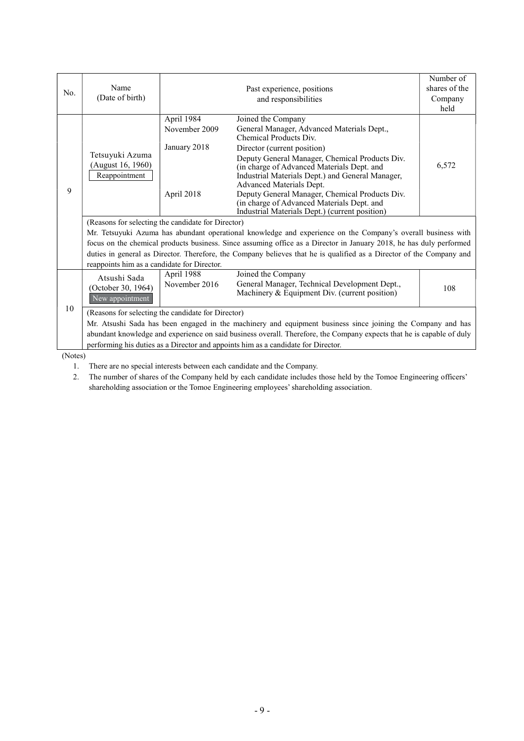|         |                                                                                                                                                                     |               |                                                                                                                                                                                                                                                                                                                                | Number of     |  |
|---------|---------------------------------------------------------------------------------------------------------------------------------------------------------------------|---------------|--------------------------------------------------------------------------------------------------------------------------------------------------------------------------------------------------------------------------------------------------------------------------------------------------------------------------------|---------------|--|
| No.     | Name                                                                                                                                                                |               | Past experience, positions                                                                                                                                                                                                                                                                                                     | shares of the |  |
|         | (Date of birth)                                                                                                                                                     |               | and responsibilities                                                                                                                                                                                                                                                                                                           | Company       |  |
|         |                                                                                                                                                                     |               |                                                                                                                                                                                                                                                                                                                                | held          |  |
|         |                                                                                                                                                                     | April 1984    | Joined the Company                                                                                                                                                                                                                                                                                                             |               |  |
|         |                                                                                                                                                                     | November 2009 | General Manager, Advanced Materials Dept.,<br>Chemical Products Div.                                                                                                                                                                                                                                                           |               |  |
|         |                                                                                                                                                                     | January 2018  | Director (current position)                                                                                                                                                                                                                                                                                                    |               |  |
| 9       | Tetsuyuki Azuma<br>(August 16, 1960)<br>Reappointment                                                                                                               | April 2018    | Deputy General Manager, Chemical Products Div.<br>(in charge of Advanced Materials Dept. and<br>Industrial Materials Dept.) and General Manager,<br>Advanced Materials Dept.<br>Deputy General Manager, Chemical Products Div.<br>(in charge of Advanced Materials Dept. and<br>Industrial Materials Dept.) (current position) | 6,572         |  |
|         | (Reasons for selecting the candidate for Director)                                                                                                                  |               |                                                                                                                                                                                                                                                                                                                                |               |  |
|         |                                                                                                                                                                     |               |                                                                                                                                                                                                                                                                                                                                |               |  |
|         | Mr. Tetsuyuki Azuma has abundant operational knowledge and experience on the Company's overall business with                                                        |               |                                                                                                                                                                                                                                                                                                                                |               |  |
|         | focus on the chemical products business. Since assuming office as a Director in January 2018, he has duly performed                                                 |               |                                                                                                                                                                                                                                                                                                                                |               |  |
|         | duties in general as Director. Therefore, the Company believes that he is qualified as a Director of the Company and<br>reappoints him as a candidate for Director. |               |                                                                                                                                                                                                                                                                                                                                |               |  |
|         |                                                                                                                                                                     |               |                                                                                                                                                                                                                                                                                                                                |               |  |
|         | Atsushi Sada                                                                                                                                                        | April 1988    | Joined the Company                                                                                                                                                                                                                                                                                                             |               |  |
|         | (October 30, 1964)<br>New appointment                                                                                                                               | November 2016 | General Manager, Technical Development Dept.,<br>Machinery & Equipment Div. (current position)                                                                                                                                                                                                                                 | 108           |  |
| 10      | (Reasons for selecting the candidate for Director)                                                                                                                  |               |                                                                                                                                                                                                                                                                                                                                |               |  |
|         | Mr. Atsushi Sada has been engaged in the machinery and equipment business since joining the Company and has                                                         |               |                                                                                                                                                                                                                                                                                                                                |               |  |
|         | abundant knowledge and experience on said business overall. Therefore, the Company expects that he is capable of duly                                               |               |                                                                                                                                                                                                                                                                                                                                |               |  |
|         |                                                                                                                                                                     |               | performing his duties as a Director and appoints him as a candidate for Director.                                                                                                                                                                                                                                              |               |  |
| (Noter) |                                                                                                                                                                     |               |                                                                                                                                                                                                                                                                                                                                |               |  |

(Notes)

1. There are no special interests between each candidate and the Company.

2. The number of shares of the Company held by each candidate includes those held by the Tomoe Engineering officers' shareholding association or the Tomoe Engineering employees' shareholding association.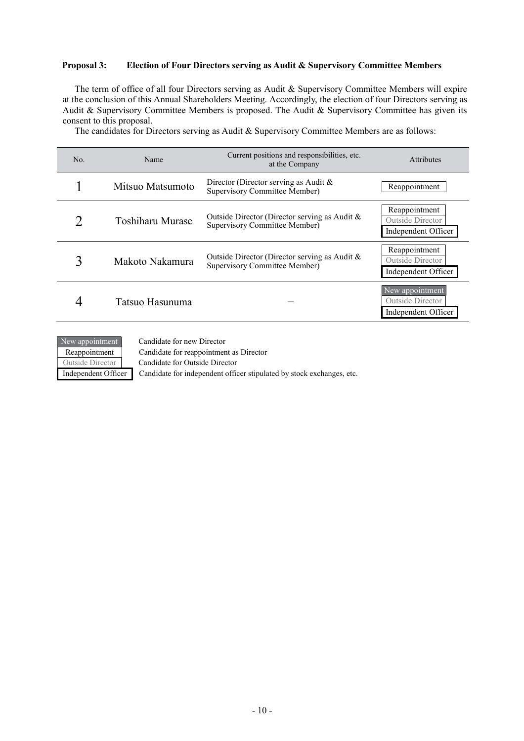#### **Proposal 3: Election of Four Directors serving as Audit & Supervisory Committee Members**

The term of office of all four Directors serving as Audit & Supervisory Committee Members will expire at the conclusion of this Annual Shareholders Meeting. Accordingly, the election of four Directors serving as Audit & Supervisory Committee Members is proposed. The Audit & Supervisory Committee has given its consent to this proposal.

The candidates for Directors serving as Audit & Supervisory Committee Members are as follows:

| No. | Name             | Current positions and responsibilities, etc.<br>at the Company                 | <b>Attributes</b>                                          |
|-----|------------------|--------------------------------------------------------------------------------|------------------------------------------------------------|
|     | Mitsuo Matsumoto | Director (Director serving as Audit $\&$<br>Supervisory Committee Member)      | Reappointment                                              |
|     | Toshiharu Murase | Outside Director (Director serving as Audit &<br>Supervisory Committee Member) | Reappointment<br>Outside Director<br>Independent Officer   |
|     | Makoto Nakamura  | Outside Director (Director serving as Audit &<br>Supervisory Committee Member) | Reappointment<br>Outside Director<br>Independent Officer   |
|     | Tatsuo Hasunuma  |                                                                                | New appointment<br>Outside Director<br>Independent Officer |



Reappointment Candidate for reappointment as Director

Independent Officer Candidate for independent officer stipulated by stock exchanges, etc.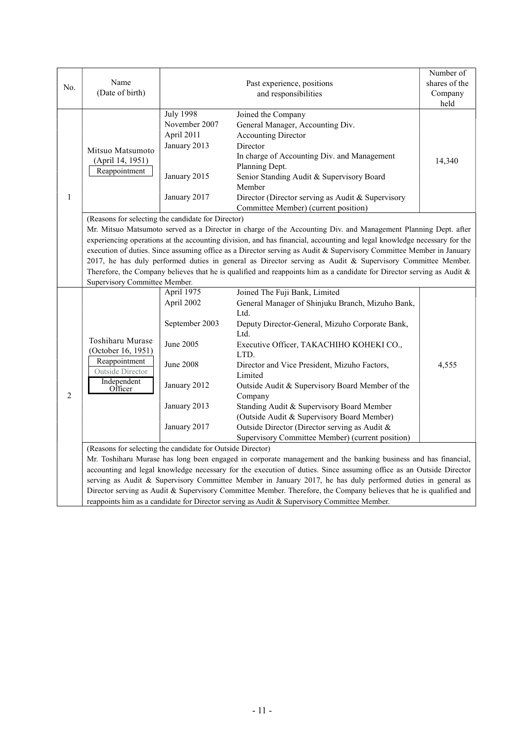|                |                                                                                                                           |                                                                                                                     |                                                                                                                         | Number of     |  |  |  |
|----------------|---------------------------------------------------------------------------------------------------------------------------|---------------------------------------------------------------------------------------------------------------------|-------------------------------------------------------------------------------------------------------------------------|---------------|--|--|--|
| No.            | Name<br>(Date of birth)                                                                                                   |                                                                                                                     | Past experience, positions                                                                                              | shares of the |  |  |  |
|                |                                                                                                                           |                                                                                                                     | and responsibilities                                                                                                    | Company       |  |  |  |
|                |                                                                                                                           |                                                                                                                     |                                                                                                                         | held          |  |  |  |
|                |                                                                                                                           | <b>July 1998</b>                                                                                                    | Joined the Company                                                                                                      |               |  |  |  |
|                |                                                                                                                           | November 2007                                                                                                       | General Manager, Accounting Div.                                                                                        |               |  |  |  |
|                |                                                                                                                           | April 2011                                                                                                          | <b>Accounting Director</b>                                                                                              |               |  |  |  |
|                | Mitsuo Matsumoto                                                                                                          | January 2013                                                                                                        | Director                                                                                                                |               |  |  |  |
|                | (April 14, 1951)                                                                                                          |                                                                                                                     | In charge of Accounting Div. and Management                                                                             | 14,340        |  |  |  |
|                | Reappointment                                                                                                             |                                                                                                                     | Planning Dept.                                                                                                          |               |  |  |  |
|                |                                                                                                                           | January 2015                                                                                                        | Senior Standing Audit & Supervisory Board                                                                               |               |  |  |  |
|                |                                                                                                                           |                                                                                                                     | Member                                                                                                                  |               |  |  |  |
| 1              |                                                                                                                           | January 2017                                                                                                        | Director (Director serving as Audit & Supervisory                                                                       |               |  |  |  |
|                |                                                                                                                           |                                                                                                                     | Committee Member) (current position)                                                                                    |               |  |  |  |
|                | (Reasons for selecting the candidate for Director)                                                                        |                                                                                                                     |                                                                                                                         |               |  |  |  |
|                |                                                                                                                           |                                                                                                                     | Mr. Mitsuo Matsumoto served as a Director in charge of the Accounting Div. and Management Planning Dept. after          |               |  |  |  |
|                |                                                                                                                           |                                                                                                                     | experiencing operations at the accounting division, and has financial, accounting and legal knowledge necessary for the |               |  |  |  |
|                |                                                                                                                           | execution of duties. Since assuming office as a Director serving as Audit & Supervisory Committee Member in January |                                                                                                                         |               |  |  |  |
|                | 2017, he has duly performed duties in general as Director serving as Audit & Supervisory Committee Member.                |                                                                                                                     |                                                                                                                         |               |  |  |  |
|                | Therefore, the Company believes that he is qualified and reappoints him as a candidate for Director serving as Audit $\&$ |                                                                                                                     |                                                                                                                         |               |  |  |  |
|                | Supervisory Committee Member.                                                                                             |                                                                                                                     |                                                                                                                         |               |  |  |  |
|                |                                                                                                                           | April 1975                                                                                                          | Joined The Fuji Bank, Limited                                                                                           |               |  |  |  |
|                | Toshiharu Murase                                                                                                          | April 2002                                                                                                          | General Manager of Shinjuku Branch, Mizuho Bank,                                                                        |               |  |  |  |
|                |                                                                                                                           |                                                                                                                     | Ltd.                                                                                                                    |               |  |  |  |
|                |                                                                                                                           | September 2003                                                                                                      | Deputy Director-General, Mizuho Corporate Bank,<br>Ltd.                                                                 |               |  |  |  |
|                |                                                                                                                           | <b>June 2005</b>                                                                                                    |                                                                                                                         |               |  |  |  |
|                | (October 16, 1951)                                                                                                        |                                                                                                                     | Executive Officer, TAKACHIHO KOHEKI CO.,<br>LTD.                                                                        |               |  |  |  |
|                | Reappointment                                                                                                             | June 2008                                                                                                           | Director and Vice President, Mizuho Factors,                                                                            | 4,555         |  |  |  |
|                | Outside Director                                                                                                          |                                                                                                                     | Limited                                                                                                                 |               |  |  |  |
|                | Independent<br>Officer                                                                                                    | January 2012                                                                                                        | Outside Audit & Supervisory Board Member of the                                                                         |               |  |  |  |
| $\overline{2}$ |                                                                                                                           |                                                                                                                     | Company                                                                                                                 |               |  |  |  |
|                |                                                                                                                           | January 2013                                                                                                        | Standing Audit & Supervisory Board Member                                                                               |               |  |  |  |
|                |                                                                                                                           |                                                                                                                     | (Outside Audit & Supervisory Board Member)                                                                              |               |  |  |  |
|                |                                                                                                                           | January 2017                                                                                                        | Outside Director (Director serving as Audit &                                                                           |               |  |  |  |
|                |                                                                                                                           |                                                                                                                     | Supervisory Committee Member) (current position)                                                                        |               |  |  |  |
|                | (Reasons for selecting the candidate for Outside Director)                                                                |                                                                                                                     |                                                                                                                         |               |  |  |  |
|                |                                                                                                                           |                                                                                                                     | Mr. Toshiharu Murase has long been engaged in corporate management and the banking business and has financial,          |               |  |  |  |
|                |                                                                                                                           |                                                                                                                     | accounting and legal knowledge necessary for the execution of duties. Since assuming office as an Outside Director      |               |  |  |  |
|                |                                                                                                                           |                                                                                                                     | serving as Audit & Supervisory Committee Member in January 2017, he has duly performed duties in general as             |               |  |  |  |
|                | Director serving as Audit & Supervisory Committee Member. Therefore, the Company believes that he is qualified and        |                                                                                                                     |                                                                                                                         |               |  |  |  |
|                | reappoints him as a candidate for Director serving as Audit & Supervisory Committee Member.                               |                                                                                                                     |                                                                                                                         |               |  |  |  |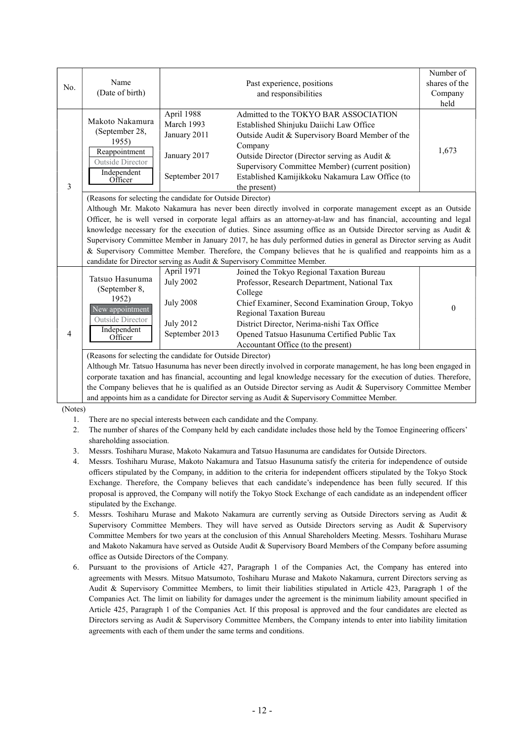| No. | Name<br>(Date of birth)                                                                                                                                                                                                                                                                                                                                                                                                                                                                                                                                                                                                                                                                                                                 |                                                                                          | Past experience, positions<br>and responsibilities                                                                                                                                                                                                                                                                     | Number of<br>shares of the<br>Company<br>held |  |  |
|-----|-----------------------------------------------------------------------------------------------------------------------------------------------------------------------------------------------------------------------------------------------------------------------------------------------------------------------------------------------------------------------------------------------------------------------------------------------------------------------------------------------------------------------------------------------------------------------------------------------------------------------------------------------------------------------------------------------------------------------------------------|------------------------------------------------------------------------------------------|------------------------------------------------------------------------------------------------------------------------------------------------------------------------------------------------------------------------------------------------------------------------------------------------------------------------|-----------------------------------------------|--|--|
| 3   | Makoto Nakamura<br>(September 28,<br>1955)<br>Reappointment<br>Outside Director<br>Independent<br>Officer                                                                                                                                                                                                                                                                                                                                                                                                                                                                                                                                                                                                                               | April 1988<br>March 1993<br>January 2011<br>January 2017<br>September 2017               | Admitted to the TOKYO BAR ASSOCIATION<br>Established Shinjuku Daiichi Law Office<br>Outside Audit & Supervisory Board Member of the<br>Company<br>Outside Director (Director serving as Audit &<br>Supervisory Committee Member) (current position)<br>Established Kamijikkoku Nakamura Law Office (to<br>the present) | 1,673                                         |  |  |
|     | (Reasons for selecting the candidate for Outside Director)<br>Although Mr. Makoto Nakamura has never been directly involved in corporate management except as an Outside<br>Officer, he is well versed in corporate legal affairs as an attorney-at-law and has financial, accounting and legal<br>knowledge necessary for the execution of duties. Since assuming office as an Outside Director serving as Audit $\&$<br>Supervisory Committee Member in January 2017, he has duly performed duties in general as Director serving as Audit<br>& Supervisory Committee Member. Therefore, the Company believes that he is qualified and reappoints him as a<br>candidate for Director serving as Audit & Supervisory Committee Member. |                                                                                          |                                                                                                                                                                                                                                                                                                                        |                                               |  |  |
| 4   | Tatsuo Hasunuma<br>(September 8,<br>1952)<br>New appointment<br>Outside Director<br>Independent<br>Officer                                                                                                                                                                                                                                                                                                                                                                                                                                                                                                                                                                                                                              | April 1971<br><b>July 2002</b><br><b>July 2008</b><br><b>July 2012</b><br>September 2013 | Joined the Tokyo Regional Taxation Bureau<br>Professor, Research Department, National Tax<br>College<br>Chief Examiner, Second Examination Group, Tokyo<br>Regional Taxation Bureau<br>District Director, Nerima-nishi Tax Office<br>Opened Tatsuo Hasunuma Certified Public Tax<br>Accountant Office (to the present) | $\theta$                                      |  |  |
|     | (Reasons for selecting the candidate for Outside Director)<br>Although Mr. Tatsuo Hasunuma has never been directly involved in corporate management, he has long been engaged in<br>corporate taxation and has financial, accounting and legal knowledge necessary for the execution of duties. Therefore,<br>the Company believes that he is qualified as an Outside Director serving as Audit & Supervisory Committee Member<br>and appoints him as a candidate for Director serving as Audit & Supervisory Committee Member.                                                                                                                                                                                                         |                                                                                          |                                                                                                                                                                                                                                                                                                                        |                                               |  |  |

(Notes)

- 1. There are no special interests between each candidate and the Company.
- 2. The number of shares of the Company held by each candidate includes those held by the Tomoe Engineering officers' shareholding association.
- 3. Messrs. Toshiharu Murase, Makoto Nakamura and Tatsuo Hasunuma are candidates for Outside Directors.
- 4. Messrs. Toshiharu Murase, Makoto Nakamura and Tatsuo Hasunuma satisfy the criteria for independence of outside officers stipulated by the Company, in addition to the criteria for independent officers stipulated by the Tokyo Stock Exchange. Therefore, the Company believes that each candidate's independence has been fully secured. If this proposal is approved, the Company will notify the Tokyo Stock Exchange of each candidate as an independent officer stipulated by the Exchange.
- 5. Messrs. Toshiharu Murase and Makoto Nakamura are currently serving as Outside Directors serving as Audit & Supervisory Committee Members. They will have served as Outside Directors serving as Audit & Supervisory Committee Members for two years at the conclusion of this Annual Shareholders Meeting. Messrs. Toshiharu Murase and Makoto Nakamura have served as Outside Audit & Supervisory Board Members of the Company before assuming office as Outside Directors of the Company.
- 6. Pursuant to the provisions of Article 427, Paragraph 1 of the Companies Act, the Company has entered into agreements with Messrs. Mitsuo Matsumoto, Toshiharu Murase and Makoto Nakamura, current Directors serving as Audit & Supervisory Committee Members, to limit their liabilities stipulated in Article 423, Paragraph 1 of the Companies Act. The limit on liability for damages under the agreement is the minimum liability amount specified in Article 425, Paragraph 1 of the Companies Act. If this proposal is approved and the four candidates are elected as Directors serving as Audit & Supervisory Committee Members, the Company intends to enter into liability limitation agreements with each of them under the same terms and conditions.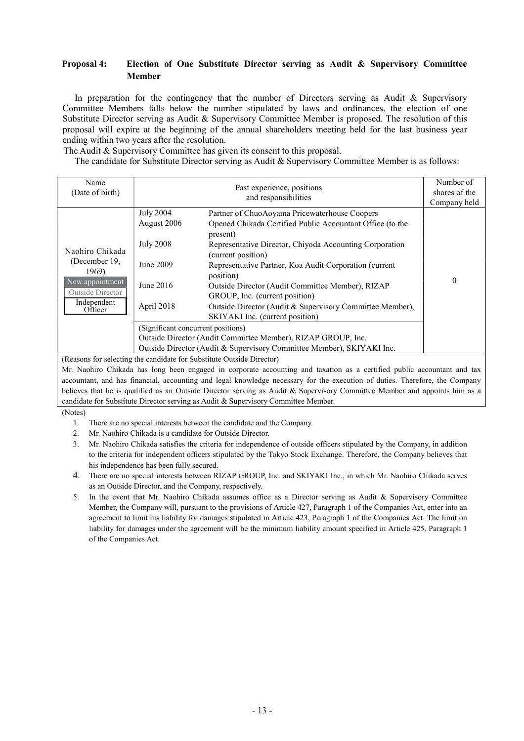## **Proposal 4: Election of One Substitute Director serving as Audit & Supervisory Committee Member**

In preparation for the contingency that the number of Directors serving as Audit  $\&$  Supervisory Committee Members falls below the number stipulated by laws and ordinances, the election of one Substitute Director serving as Audit & Supervisory Committee Member is proposed. The resolution of this proposal will expire at the beginning of the annual shareholders meeting held for the last business year ending within two years after the resolution.

The Audit & Supervisory Committee has given its consent to this proposal.

The candidate for Substitute Director serving as Audit & Supervisory Committee Member is as follows:

| Name<br>(Date of birth)                                                                                    |                                                                                             | Past experience, positions<br>and responsibilities                                                                                                                                                                                                                                                                                                                                                                                                                  | Number of<br>shares of the<br>Company held |
|------------------------------------------------------------------------------------------------------------|---------------------------------------------------------------------------------------------|---------------------------------------------------------------------------------------------------------------------------------------------------------------------------------------------------------------------------------------------------------------------------------------------------------------------------------------------------------------------------------------------------------------------------------------------------------------------|--------------------------------------------|
| Naohiro Chikada<br>(December 19,<br>1969)<br>New appointment<br>Outside Director<br>Independent<br>Officer | <b>July 2004</b><br>August 2006<br><b>July 2008</b><br>June 2009<br>June 2016<br>April 2018 | Partner of ChuoAoyama Pricewaterhouse Coopers<br>Opened Chikada Certified Public Accountant Office (to the<br>present)<br>Representative Director, Chiyoda Accounting Corporation<br>(current position)<br>Representative Partner, Koa Audit Corporation (current<br>position)<br>Outside Director (Audit Committee Member), RIZAP<br>GROUP, Inc. (current position)<br>Outside Director (Audit & Supervisory Committee Member),<br>SKIYAKI Inc. (current position) | $\theta$                                   |
|                                                                                                            | (Significant concurrent positions)                                                          | Outside Director (Audit Committee Member), RIZAP GROUP, Inc.<br>Outside Director (Audit & Supervisory Committee Member), SKIYAKI Inc.                                                                                                                                                                                                                                                                                                                               |                                            |

(Reasons for selecting the candidate for Substitute Outside Director)

Mr. Naohiro Chikada has long been engaged in corporate accounting and taxation as a certified public accountant and tax accountant, and has financial, accounting and legal knowledge necessary for the execution of duties. Therefore, the Company believes that he is qualified as an Outside Director serving as Audit & Supervisory Committee Member and appoints him as a candidate for Substitute Director serving as Audit & Supervisory Committee Member.

(Notes)

- 1. There are no special interests between the candidate and the Company.
- 2. Mr. Naohiro Chikada is a candidate for Outside Director.
- 3. Mr. Naohiro Chikada satisfies the criteria for independence of outside officers stipulated by the Company, in addition to the criteria for independent officers stipulated by the Tokyo Stock Exchange. Therefore, the Company believes that his independence has been fully secured.
- 4. There are no special interests between RIZAP GROUP, Inc. and SKIYAKI Inc., in which Mr. Naohiro Chikada serves as an Outside Director, and the Company, respectively.
- 5. In the event that Mr. Naohiro Chikada assumes office as a Director serving as Audit & Supervisory Committee Member, the Company will, pursuant to the provisions of Article 427, Paragraph 1 of the Companies Act, enter into an agreement to limit his liability for damages stipulated in Article 423, Paragraph 1 of the Companies Act. The limit on liability for damages under the agreement will be the minimum liability amount specified in Article 425, Paragraph 1 of the Companies Act.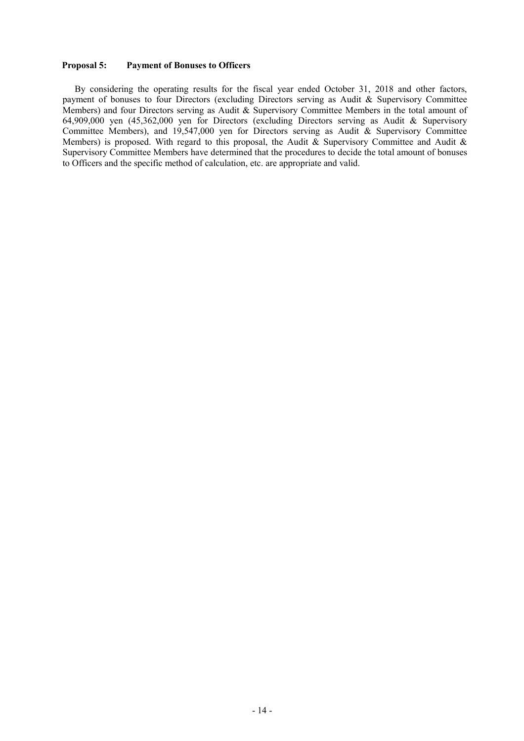#### **Proposal 5: Payment of Bonuses to Officers**

By considering the operating results for the fiscal year ended October 31, 2018 and other factors, payment of bonuses to four Directors (excluding Directors serving as Audit & Supervisory Committee Members) and four Directors serving as Audit & Supervisory Committee Members in the total amount of 64,909,000 yen (45,362,000 yen for Directors (excluding Directors serving as Audit & Supervisory Committee Members), and 19,547,000 yen for Directors serving as Audit & Supervisory Committee Members) is proposed. With regard to this proposal, the Audit & Supervisory Committee and Audit & Supervisory Committee Members have determined that the procedures to decide the total amount of bonuses to Officers and the specific method of calculation, etc. are appropriate and valid.